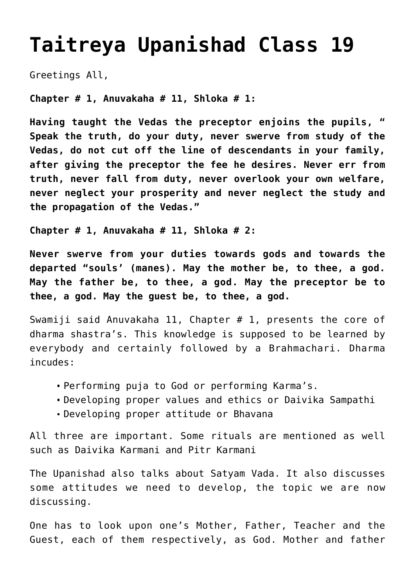## **[Taitreya Upanishad Class 19](http://www.advaidam.com/2017/09/29/taitreya-upanishad-class-19/)**

Greetings All,

**Chapter # 1, Anuvakaha # 11, Shloka # 1:**

**Having taught the Vedas the preceptor enjoins the pupils, " Speak the truth, do your duty, never swerve from study of the Vedas, do not cut off the line of descendants in your family, after giving the preceptor the fee he desires. Never err from truth, never fall from duty, never overlook your own welfare, never neglect your prosperity and never neglect the study and the propagation of the Vedas."**

**Chapter # 1, Anuvakaha # 11, Shloka # 2:**

**Never swerve from your duties towards gods and towards the departed "souls' (manes). May the mother be, to thee, a god. May the father be, to thee, a god. May the preceptor be to thee, a god. May the guest be, to thee, a god.**

Swamiji said Anuvakaha 11, Chapter # 1, presents the core of dharma shastra's. This knowledge is supposed to be learned by everybody and certainly followed by a Brahmachari. Dharma incudes:

- Performing puja to God or performing Karma's.
- Developing proper values and ethics or Daivika Sampathi
- Developing proper attitude or Bhavana

All three are important. Some rituals are mentioned as well such as Daivika Karmani and Pitr Karmani

The Upanishad also talks about Satyam Vada. It also discusses some attitudes we need to develop, the topic we are now discussing.

One has to look upon one's Mother, Father, Teacher and the Guest, each of them respectively, as God. Mother and father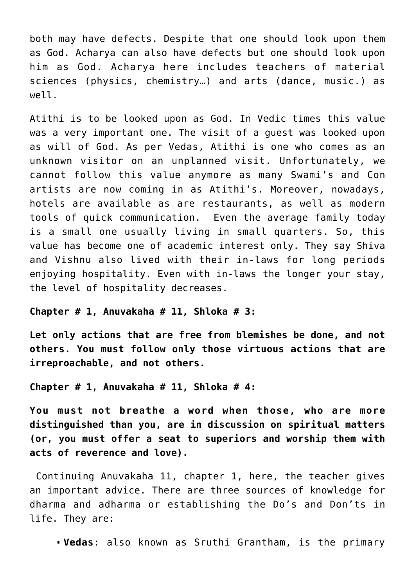both may have defects. Despite that one should look upon them as God. Acharya can also have defects but one should look upon him as God. Acharya here includes teachers of material sciences (physics, chemistry…) and arts (dance, music.) as well.

Atithi is to be looked upon as God. In Vedic times this value was a very important one. The visit of a guest was looked upon as will of God. As per Vedas, Atithi is one who comes as an unknown visitor on an unplanned visit. Unfortunately, we cannot follow this value anymore as many Swami's and Con artists are now coming in as Atithi's. Moreover, nowadays, hotels are available as are restaurants, as well as modern tools of quick communication. Even the average family today is a small one usually living in small quarters. So, this value has become one of academic interest only. They say Shiva and Vishnu also lived with their in-laws for long periods enjoving hospitality. Even with in-laws the longer your stay, the level of hospitality decreases.

## **Chapter # 1, Anuvakaha # 11, Shloka # 3:**

**Let only actions that are free from blemishes be done, and not others. You must follow only those virtuous actions that are irreproachable, and not others.**

**Chapter # 1, Anuvakaha # 11, Shloka # 4:**

**You must not breathe a word when those, who are more distinguished than you, are in discussion on spiritual matters (or, you must offer a seat to superiors and worship them with acts of reverence and love).**

Continuing Anuvakaha 11, chapter 1, here, the teacher gives an important advice. There are three sources of knowledge for dharma and adharma or establishing the Do's and Don'ts in life. They are:

**Vedas**: also known as Sruthi Grantham, is the primary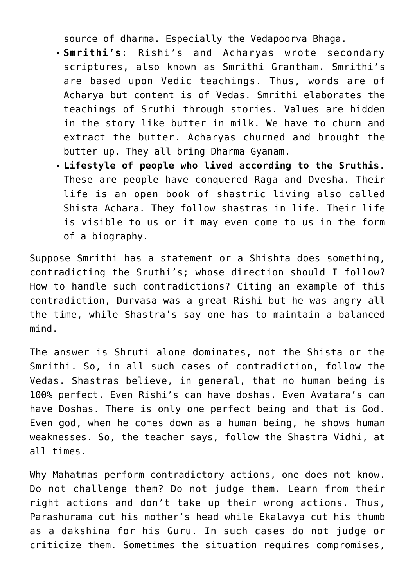source of dharma. Especially the Vedapoorva Bhaga.

- **Smrithi's**: Rishi's and Acharyas wrote secondary scriptures, also known as Smrithi Grantham. Smrithi's are based upon Vedic teachings. Thus, words are of Acharya but content is of Vedas. Smrithi elaborates the teachings of Sruthi through stories. Values are hidden in the story like butter in milk. We have to churn and extract the butter. Acharyas churned and brought the butter up. They all bring Dharma Gyanam.
- **Lifestyle of people who lived according to the Sruthis.** These are people have conquered Raga and Dvesha. Their life is an open book of shastric living also called Shista Achara. They follow shastras in life. Their life is visible to us or it may even come to us in the form of a biography.

Suppose Smrithi has a statement or a Shishta does something, contradicting the Sruthi's; whose direction should I follow? How to handle such contradictions? Citing an example of this contradiction, Durvasa was a great Rishi but he was angry all the time, while Shastra's say one has to maintain a balanced mind.

The answer is Shruti alone dominates, not the Shista or the Smrithi. So, in all such cases of contradiction, follow the Vedas. Shastras believe, in general, that no human being is 100% perfect. Even Rishi's can have doshas. Even Avatara's can have Doshas. There is only one perfect being and that is God. Even god, when he comes down as a human being, he shows human weaknesses. So, the teacher says, follow the Shastra Vidhi, at all times.

Why Mahatmas perform contradictory actions, one does not know. Do not challenge them? Do not judge them. Learn from their right actions and don't take up their wrong actions. Thus, Parashurama cut his mother's head while Ekalavya cut his thumb as a dakshina for his Guru. In such cases do not judge or criticize them. Sometimes the situation requires compromises,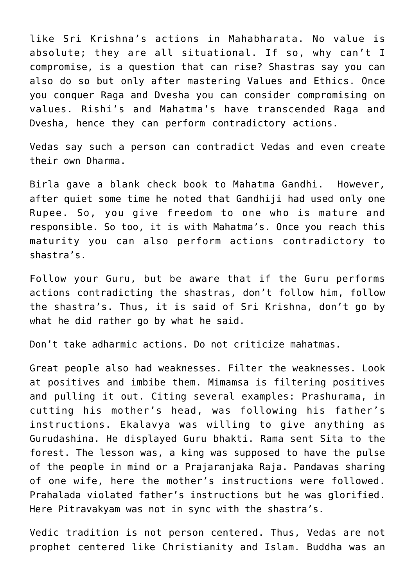like Sri Krishna's actions in Mahabharata. No value is absolute; they are all situational. If so, why can't I compromise, is a question that can rise? Shastras say you can also do so but only after mastering Values and Ethics. Once you conquer Raga and Dvesha you can consider compromising on values. Rishi's and Mahatma's have transcended Raga and Dvesha, hence they can perform contradictory actions.

Vedas say such a person can contradict Vedas and even create their own Dharma.

Birla gave a blank check book to Mahatma Gandhi. However, after quiet some time he noted that Gandhiji had used only one Rupee. So, you give freedom to one who is mature and responsible. So too, it is with Mahatma's. Once you reach this maturity you can also perform actions contradictory to shastra's.

Follow your Guru, but be aware that if the Guru performs actions contradicting the shastras, don't follow him, follow the shastra's. Thus, it is said of Sri Krishna, don't go by what he did rather go by what he said.

Don't take adharmic actions. Do not criticize mahatmas.

Great people also had weaknesses. Filter the weaknesses. Look at positives and imbibe them. Mimamsa is filtering positives and pulling it out. Citing several examples: Prashurama, in cutting his mother's head, was following his father's instructions. Ekalavya was willing to give anything as Gurudashina. He displayed Guru bhakti. Rama sent Sita to the forest. The lesson was, a king was supposed to have the pulse of the people in mind or a Prajaranjaka Raja. Pandavas sharing of one wife, here the mother's instructions were followed. Prahalada violated father's instructions but he was glorified. Here Pitravakyam was not in sync with the shastra's.

Vedic tradition is not person centered. Thus, Vedas are not prophet centered like Christianity and Islam. Buddha was an